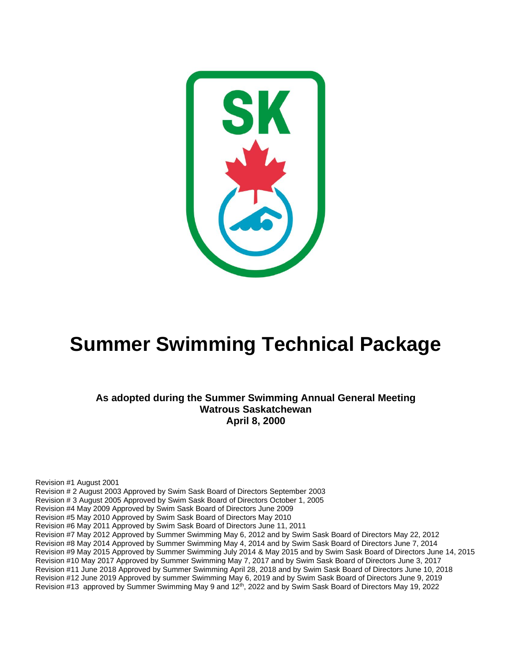

# **Summer Swimming Technical Package**

**As adopted during the Summer Swimming Annual General Meeting Watrous Saskatchewan April 8, 2000**

Revision #1 August 2001 Revision # 2 August 2003 Approved by Swim Sask Board of Directors September 2003 Revision # 3 August 2005 Approved by Swim Sask Board of Directors October 1, 2005 Revision #4 May 2009 Approved by Swim Sask Board of Directors June 2009 Revision #5 May 2010 Approved by Swim Sask Board of Directors May 2010 Revision #6 May 2011 Approved by Swim Sask Board of Directors June 11, 2011 Revision #7 May 2012 Approved by Summer Swimming May 6, 2012 and by Swim Sask Board of Directors May 22, 2012 Revision #8 May 2014 Approved by Summer Swimming May 4, 2014 and by Swim Sask Board of Directors June 7, 2014 Revision #9 May 2015 Approved by Summer Swimming July 2014 & May 2015 and by Swim Sask Board of Directors June 14, 2015 Revision #10 May 2017 Approved by Summer Swimming May 7, 2017 and by Swim Sask Board of Directors June 3, 2017 Revision #11 June 2018 Approved by Summer Swimming April 28, 2018 and by Swim Sask Board of Directors June 10, 2018 Revision #12 June 2019 Approved by summer Swimming May 6, 2019 and by Swim Sask Board of Directors June 9, 2019 Revision #13 approved by Summer Swimming May 9 and 12<sup>th</sup>, 2022 and by Swim Sask Board of Directors May 19, 2022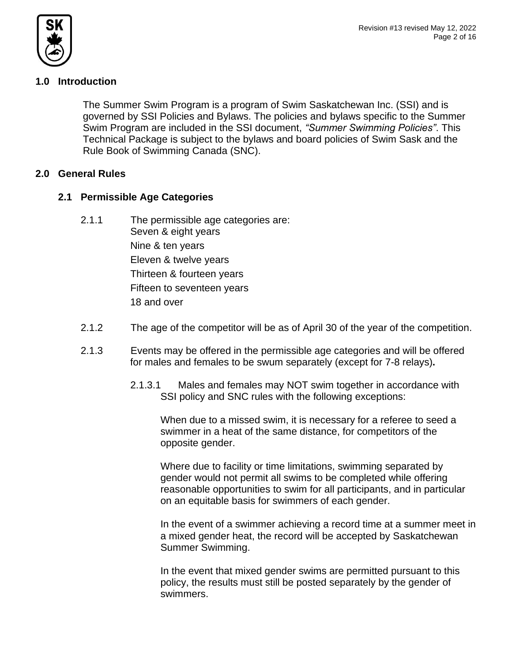

# **1.0 Introduction**

The Summer Swim Program is a program of Swim Saskatchewan Inc. (SSI) and is governed by SSI Policies and Bylaws. The policies and bylaws specific to the Summer Swim Program are included in the SSI document, *"Summer Swimming Policies"*. This Technical Package is subject to the bylaws and board policies of Swim Sask and the Rule Book of Swimming Canada (SNC).

# **2.0 General Rules**

# **2.1 Permissible Age Categories**

- 2.1.1 The permissible age categories are: Seven & eight years Nine & ten years Eleven & twelve years Thirteen & fourteen years Fifteen to seventeen years 18 and over
- 2.1.2 The age of the competitor will be as of April 30 of the year of the competition.
- 2.1.3 Events may be offered in the permissible age categories and will be offered for males and females to be swum separately (except for 7-8 relays)**.** 
	- 2.1.3.1 Males and females may NOT swim together in accordance with SSI policy and SNC rules with the following exceptions:

When due to a missed swim, it is necessary for a referee to seed a swimmer in a heat of the same distance, for competitors of the opposite gender.

Where due to facility or time limitations, swimming separated by gender would not permit all swims to be completed while offering reasonable opportunities to swim for all participants, and in particular on an equitable basis for swimmers of each gender.

In the event of a swimmer achieving a record time at a summer meet in a mixed gender heat, the record will be accepted by Saskatchewan Summer Swimming.

In the event that mixed gender swims are permitted pursuant to this policy, the results must still be posted separately by the gender of swimmers.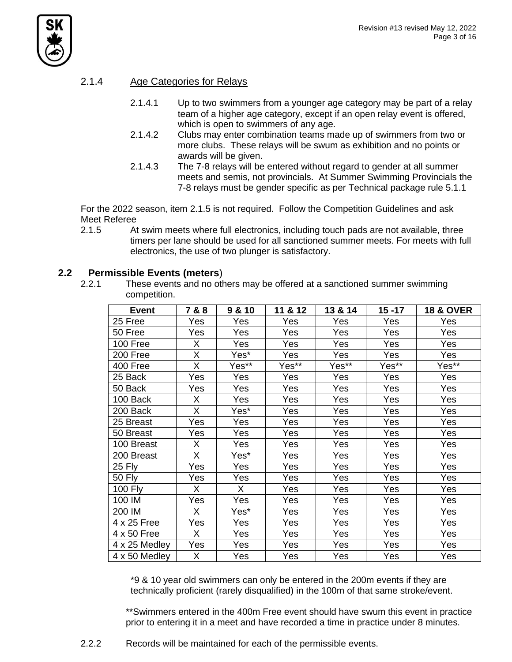

## 2.1.4 Age Categories for Relays

- 2.1.4.1 Up to two swimmers from a younger age category may be part of a relay team of a higher age category, except if an open relay event is offered, which is open to swimmers of any age.
- 2.1.4.2 Clubs may enter combination teams made up of swimmers from two or more clubs. These relays will be swum as exhibition and no points or awards will be given.
- 2.1.4.3 The 7-8 relays will be entered without regard to gender at all summer meets and semis, not provincials. At Summer Swimming Provincials the 7-8 relays must be gender specific as per Technical package rule 5.1.1

For the 2022 season, item 2.1.5 is not required. Follow the Competition Guidelines and ask Meet Referee

2.1.5 At swim meets where full electronics, including touch pads are not available, three timers per lane should be used for all sanctioned summer meets. For meets with full electronics, the use of two plunger is satisfactory.

### **2.2 Permissible Events (meters**)

2.2.1 These events and no others may be offered at a sanctioned summer swimming competition.

| <b>Event</b>   | 7 & 8 | 9 & 10 | 11 & 12 | 13 & 14 | $15 - 17$ | <b>18 &amp; OVER</b> |
|----------------|-------|--------|---------|---------|-----------|----------------------|
| 25 Free        | Yes   | Yes    | Yes     | Yes     | Yes       | Yes                  |
| 50 Free        | Yes   | Yes    | Yes     | Yes     | Yes       | Yes                  |
| 100 Free       | X     | Yes    | Yes     | Yes     | Yes       | Yes                  |
| 200 Free       | X     | Yes*   | Yes     | Yes     | Yes       | Yes                  |
| 400 Free       | X     | Yes**  | Yes**   | Yes**   | Yes**     | Yes**                |
| 25 Back        | Yes   | Yes    | Yes     | Yes     | Yes       | Yes                  |
| 50 Back        | Yes   | Yes    | Yes     | Yes     | Yes       | Yes                  |
| 100 Back       | X     | Yes    | Yes     | Yes     | Yes       | Yes                  |
| 200 Back       | X     | Yes*   | Yes     | Yes     | Yes       | Yes                  |
| 25 Breast      | Yes   | Yes    | Yes     | Yes     | Yes       | Yes                  |
| 50 Breast      | Yes   | Yes    | Yes     | Yes     | Yes       | Yes                  |
| 100 Breast     | X     | Yes    | Yes     | Yes     | Yes       | Yes                  |
| 200 Breast     | X     | Yes*   | Yes     | Yes     | Yes       | Yes                  |
| <b>25 Fly</b>  | Yes   | Yes    | Yes     | Yes     | Yes       | Yes                  |
| <b>50 Fly</b>  | Yes   | Yes    | Yes     | Yes     | Yes       | Yes                  |
| <b>100 Fly</b> | X     | X      | Yes     | Yes     | Yes       | Yes                  |
| 100 IM         | Yes   | Yes    | Yes     | Yes     | Yes       | Yes                  |
| 200 IM         | X     | Yes*   | Yes     | Yes     | Yes       | Yes                  |
| 4 x 25 Free    | Yes   | Yes    | Yes     | Yes     | Yes       | Yes                  |
| 4 x 50 Free    | X.    | Yes    | Yes     | Yes     | Yes       | Yes                  |
| 4 x 25 Medley  | Yes   | Yes    | Yes     | Yes     | Yes       | Yes                  |
| 4 x 50 Medley  | X     | Yes    | Yes     | Yes     | Yes       | Yes                  |

\*9 & 10 year old swimmers can only be entered in the 200m events if they are technically proficient (rarely disqualified) in the 100m of that same stroke/event.

\*\*Swimmers entered in the 400m Free event should have swum this event in practice prior to entering it in a meet and have recorded a time in practice under 8 minutes.

2.2.2 Records will be maintained for each of the permissible events.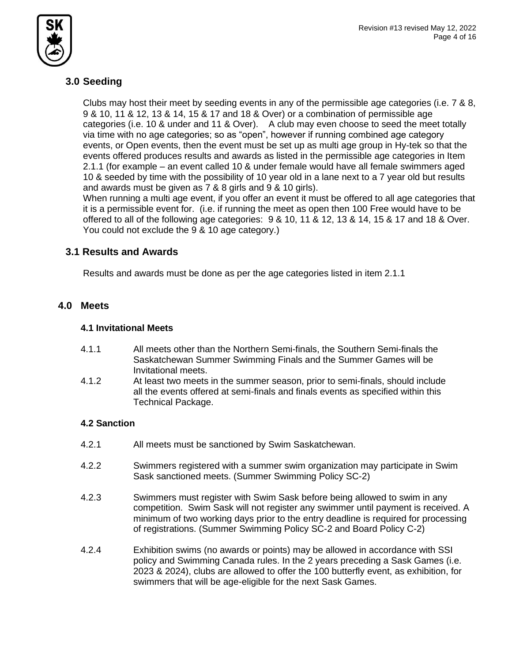

# **3.0 Seeding**

Clubs may host their meet by seeding events in any of the permissible age categories (i.e. 7 & 8, 9 & 10, 11 & 12, 13 & 14, 15 & 17 and 18 & Over) or a combination of permissible age categories (i.e. 10 & under and 11 & Over). A club may even choose to seed the meet totally via time with no age categories; so as "open", however if running combined age category events, or Open events, then the event must be set up as multi age group in Hy-tek so that the events offered produces results and awards as listed in the permissible age categories in Item 2.1.1 (for example – an event called 10 & under female would have all female swimmers aged 10 & seeded by time with the possibility of 10 year old in a lane next to a 7 year old but results and awards must be given as 7 & 8 girls and 9 & 10 girls).

When running a multi age event, if you offer an event it must be offered to all age categories that it is a permissible event for. (i.e. if running the meet as open then 100 Free would have to be offered to all of the following age categories: 9 & 10, 11 & 12, 13 & 14, 15 & 17 and 18 & Over. You could not exclude the 9 & 10 age category.)

# **3.1 Results and Awards**

Results and awards must be done as per the age categories listed in item 2.1.1

# **4.0 Meets**

## **4.1 Invitational Meets**

- 4.1.1 All meets other than the Northern Semi-finals, the Southern Semi-finals the Saskatchewan Summer Swimming Finals and the Summer Games will be Invitational meets.
- 4.1.2 At least two meets in the summer season, prior to semi-finals, should include all the events offered at semi-finals and finals events as specified within this Technical Package.

# **4.2 Sanction**

- 4.2.1 All meets must be sanctioned by Swim Saskatchewan.
- 4.2.2 Swimmers registered with a summer swim organization may participate in Swim Sask sanctioned meets. (Summer Swimming Policy SC-2)
- 4.2.3 Swimmers must register with Swim Sask before being allowed to swim in any competition. Swim Sask will not register any swimmer until payment is received. A minimum of two working days prior to the entry deadline is required for processing of registrations. (Summer Swimming Policy SC-2 and Board Policy C-2)
- 4.2.4 Exhibition swims (no awards or points) may be allowed in accordance with SSI policy and Swimming Canada rules. In the 2 years preceding a Sask Games (i.e. 2023 & 2024), clubs are allowed to offer the 100 butterfly event, as exhibition, for swimmers that will be age-eligible for the next Sask Games.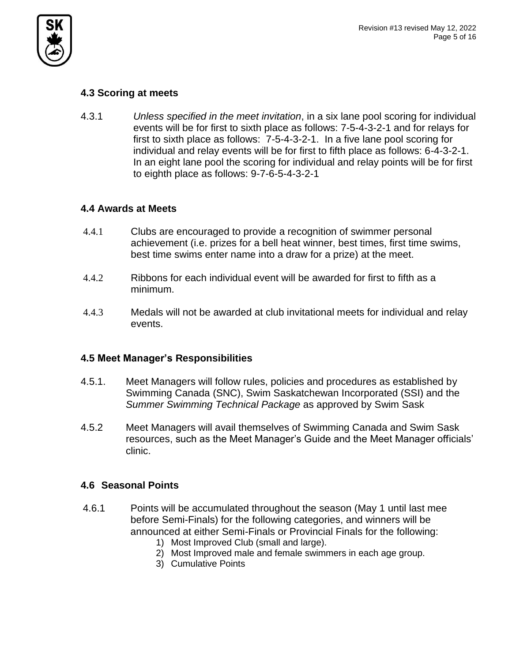

# **4.3 Scoring at meets**

4.3.1 *Unless specified in the meet invitation*, in a six lane pool scoring for individual events will be for first to sixth place as follows: 7-5-4-3-2-1 and for relays for first to sixth place as follows: 7-5-4-3-2-1. In a five lane pool scoring for individual and relay events will be for first to fifth place as follows: 6-4-3-2-1. In an eight lane pool the scoring for individual and relay points will be for first to eighth place as follows: 9-7-6-5-4-3-2-1

# **4.4 Awards at Meets**

- 4.4.1 Clubs are encouraged to provide a recognition of swimmer personal achievement (i.e. prizes for a bell heat winner, best times, first time swims, best time swims enter name into a draw for a prize) at the meet.
- 4.4.2 Ribbons for each individual event will be awarded for first to fifth as a minimum.
- 4.4.3 Medals will not be awarded at club invitational meets for individual and relay events.

# **4.5 Meet Manager's Responsibilities**

- 4.5.1. Meet Managers will follow rules, policies and procedures as established by Swimming Canada (SNC), Swim Saskatchewan Incorporated (SSI) and the *Summer Swimming Technical Package* as approved by Swim Sask
- 4.5.2 Meet Managers will avail themselves of Swimming Canada and Swim Sask resources, such as the Meet Manager's Guide and the Meet Manager officials' clinic.

# **4.6 Seasonal Points**

- 4.6.1 Points will be accumulated throughout the season (May 1 until last mee before Semi-Finals) for the following categories, and winners will be announced at either Semi-Finals or Provincial Finals for the following:
	- 1) Most Improved Club (small and large).
	- 2) Most Improved male and female swimmers in each age group.
	- 3) Cumulative Points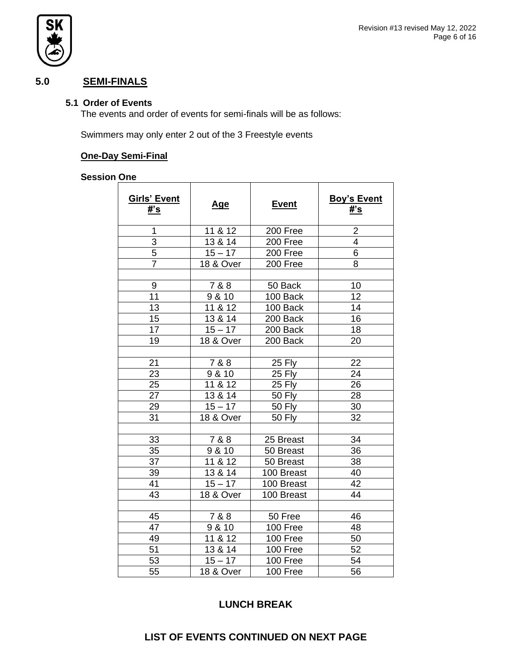

# **5.0 SEMI-FINALS**

#### **5.1 Order of Events**

The events and order of events for semi-finals will be as follows:

Swimmers may only enter 2 out of the 3 Freestyle events

#### **One-Day Semi-Final**

# **Session One**

| <b>Girls' Event</b><br>#'s | <u>Age</u>           | <b>Event</b>  | <b>Boy's Event</b><br>#'s |
|----------------------------|----------------------|---------------|---------------------------|
| 1                          | 11 & 12              | 200 Free      | $\overline{2}$            |
| 3                          | 13 & 14              | 200 Free      | $\overline{4}$            |
| 5                          | $15 - 17$            | 200 Free      | 6                         |
| $\overline{7}$             | <b>18 &amp; Over</b> | 200 Free      | 8                         |
|                            |                      |               |                           |
| 9                          | 7 & 8                | 50 Back       | 10                        |
| 11                         | 9 & 10               | 100 Back      | 12                        |
| 13                         | 11 & 12              | 100 Back      | 14                        |
| 15                         | 13 & 14              | 200 Back      | 16                        |
| 17                         | $15 - 17$            | 200 Back      | 18                        |
| 19                         | <b>18 &amp; Over</b> | 200 Back      | 20                        |
|                            |                      |               |                           |
| 21                         | 7 & 8                | 25 Fly        | 22                        |
| 23                         | 9 & 10               | 25 Fly        | 24                        |
| 25                         | 11 & 12              | 25 Fly        | 26                        |
| 27                         | 13 & 14              | <b>50 Fly</b> | 28                        |
| 29                         | $15 - 17$            | <b>50 Fly</b> | 30                        |
| 31                         | <b>18 &amp; Over</b> | 50 Fly        | 32                        |
|                            |                      |               |                           |
| 33                         | 7 & 8                | 25 Breast     | 34                        |
| 35                         | 9 & 10               | 50 Breast     | 36                        |
| 37                         | 11 & 12              | 50 Breast     | 38                        |
| 39                         | 13 & 14              | 100 Breast    | 40                        |
| 41                         | $15 - 17$            | 100 Breast    | 42                        |
| 43                         | <b>18 &amp; Over</b> | 100 Breast    | 44                        |
|                            |                      |               |                           |
| 45                         | 7 & 8                | 50 Free       | 46                        |
| 47                         | 9 & 10               | 100 Free      | 48                        |
| 49                         | 11 & 12              | 100 Free      | 50                        |
| 51                         | 13 & 14              | 100 Free      | 52                        |
| 53                         | $\overline{15} - 17$ | 100 Free      | 54                        |
| 55                         | <b>18 &amp; Over</b> | 100 Free      | 56                        |

# **LUNCH BREAK**

## **LIST OF EVENTS CONTINUED ON NEXT PAGE**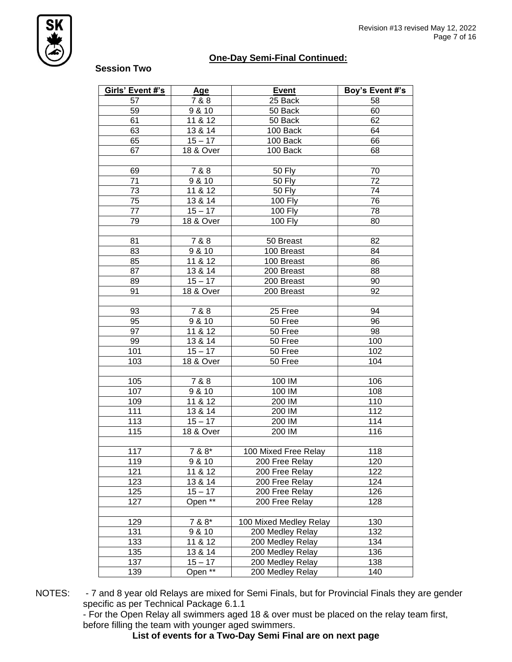

## **One-Day Semi-Final Continued:**

#### **Session Two**

| Girls' Event #'s | <b>Age</b>             | <b>Event</b>           | Boy's Event #'s |
|------------------|------------------------|------------------------|-----------------|
| 57               | 7 & 8                  | 25 Back                | 58              |
| 59               | 9 & 10                 | 50 Back                | 60              |
| 61               | 11 & 12                | 50 Back                | 62              |
| 63               | 13 & 14                | 100 Back               | 64              |
| 65               | $15 - 17$              | 100 Back               | 66              |
| 67               | 18 & Over              | 100 Back               | 68              |
|                  |                        |                        |                 |
| 69               | 7 & 8                  | <b>50 Fly</b>          | 70              |
| 71               | 9 & 10                 | <b>50 Fly</b>          | 72              |
| 73               | 11 & 12                | <b>50 Fly</b>          | 74              |
| 75               | 13 & 14                | 100 Fly                | 76              |
| $77\,$           | $15 - 17$              | 100 Fly                | 78              |
| 79               | 18 & Over              | <b>100 Fly</b>         | 80              |
|                  |                        |                        |                 |
| 81               | 7 & 8                  | 50 Breast              | 82              |
| 83               | 9 & 10                 | 100 Breast             | 84              |
| 85               | 11 & 12                | 100 Breast             | 86              |
| 87               | 13 & 14                | 200 Breast             | 88              |
| 89               | $15 - 17$              | 200 Breast             | 90              |
| 91               | 18 & Over              | 200 Breast             | 92              |
|                  |                        |                        |                 |
| 93               | 7 & 8                  | 25 Free                | 94              |
| 95               | 9 & 10                 | 50 Free                | 96              |
| 97               | 11 & 12                | 50 Free                | 98              |
| 99               | 13 & 14                | 50 Free                | 100             |
| 101              | $15 - 17$              | 50 Free                | 102             |
| 103              | $18$ & Over            | 50 Free                | 104             |
|                  |                        |                        |                 |
| 105              | 7 & 8                  | 100 IM                 | 106             |
| 107              | 9 & 10                 | 100 IM                 | 108             |
| 109              | 11 & 12                | 200 IM                 | 110             |
| 111              | 13 & 14                | 200 IM                 | 112             |
| 113              | $\sqrt{15 - 17}$       | 200 IM                 | 114             |
| 115              | $\overline{18}$ & Over | 200 IM                 | 116             |
|                  |                        |                        |                 |
| 117              | 7 & 8*                 | 100 Mixed Free Relay   | 118             |
| 119              | 9 & 10                 | 200 Free Relay         | 120             |
| 121              | 11 & 12                | 200 Free Relay         | 122             |
| 123              | 13 & 14                | 200 Free Relay         | 124             |
| 125              | $15 - 17$              | 200 Free Relay         | 126             |
| 127              | Open <sup>**</sup>     | 200 Free Relay         | 128             |
|                  |                        |                        |                 |
| 129              | 7 & 8*                 | 100 Mixed Medley Relay | 130             |
| 131              | 9 & 10                 | 200 Medley Relay       | 132             |
| 133              | 11 & 12                | 200 Medley Relay       | 134             |
| 135              | 13 & 14                | 200 Medley Relay       | 136             |
| 137              | $15 - 17$              | 200 Medley Relay       | 138             |
| 139              | Open <sup>**</sup>     | 200 Medley Relay       | 140             |

NOTES: - 7 and 8 year old Relays are mixed for Semi Finals, but for Provincial Finals they are gender specific as per Technical Package 6.1.1

- For the Open Relay all swimmers aged 18 & over must be placed on the relay team first, before filling the team with younger aged swimmers.

**List of events for a Two-Day Semi Final are on next page**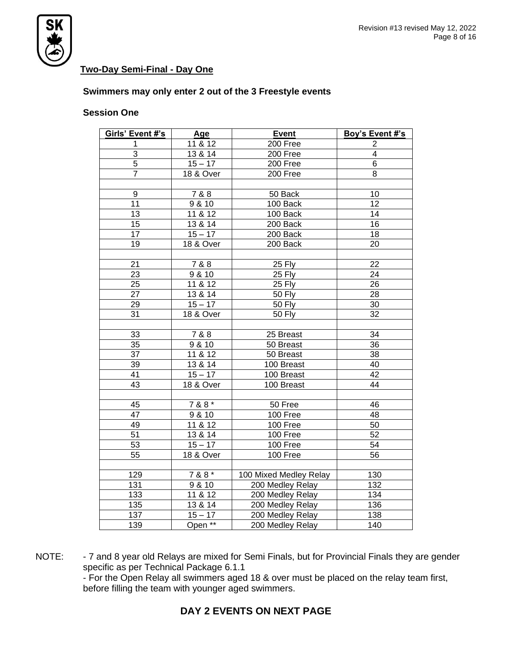

## **Two-Day Semi-Final - Day One**

#### **Swimmers may only enter 2 out of the 3 Freestyle events**

#### **Session One**

| Girls' Event #'s | Age                  | <b>Event</b>            | Boy's Event #'s |
|------------------|----------------------|-------------------------|-----------------|
| 1                | 11 & 12              | 200 Free                | 2               |
| 3                | 13 & 14              | 200 Free                | $\overline{4}$  |
| $\overline{5}$   | $15 - 17$            | 200 Free                | $\overline{6}$  |
| $\overline{7}$   | 18 & Over            | 200 Free                | 8               |
|                  |                      |                         |                 |
| 9                | 7 & 8                | 50 Back                 | 10              |
| 11               | 9 & 10               | 100 Back                | 12              |
| 13               | 11 & 812             | $\overline{100}$ Back   | 14              |
| 15               | 13 & 14              | $\overline{200}$ Back   | 16              |
| $\overline{17}$  | $15 - 17$            | $200$ Back              | 18              |
| 19               | 18 & Over            | 200 Back                | 20              |
|                  |                      |                         |                 |
| 21               | 7 & 8                | 25 Fly                  | 22              |
| 23               | 9 & 10               | 25 Fly                  | 24              |
| 25               | 11 & $12$            | 25 Fly                  | 26              |
| $\overline{27}$  | 13 & 14              | <b>50 Fly</b>           | 28              |
| $\overline{29}$  | $15 - 17$            | <b>50 Fly</b>           | $\overline{30}$ |
| 31               | 18 & Over            | <b>50 Fly</b>           | $\overline{32}$ |
|                  |                      |                         |                 |
| 33               | 7 & 8                | 25 Breast               | 34              |
| 35               | 9 & 10               | 50 Breast               | 36              |
| 37               | 11 & 12              | 50 Breast               | 38              |
| 39               | 13 & 14              | $\overline{100}$ Breast | 40              |
| 41               | $15 - 17$            | 100 Breast              | $\overline{42}$ |
| 43               | <b>18 &amp; Over</b> | 100 Breast              | $\overline{44}$ |
|                  |                      |                         |                 |
| 45               | $788*$               | 50 Free                 | 46              |
| 47               | 9 & 10               | 100 Free                | 48              |
| 49               | 11 & 812             | 100 Free                | 50              |
| 51               | 13 & 14              | 100 Free                | 52              |
| 53               | $15 - 17$            | 100 Free                | 54              |
| 55               | 18 & Over            | 100 Free                | 56              |
|                  |                      |                         |                 |
| 129              | 7 & 8 *              | 100 Mixed Medley Relay  | 130             |
| 131              | 9 & 10               | 200 Medley Relay        | 132             |
| 133              | 11 & 812             | 200 Medley Relay        | 134             |
| $\overline{135}$ | 13 & 14              | 200 Medley Relay        | 136             |
| 137              | $15 - 17$            | 200 Medley Relay        | 138             |
| 139              | Open **              | 200 Medley Relay        | 140             |

NOTE: - 7 and 8 year old Relays are mixed for Semi Finals, but for Provincial Finals they are gender specific as per Technical Package 6.1.1 - For the Open Relay all swimmers aged 18 & over must be placed on the relay team first, before filling the team with younger aged swimmers.

# **DAY 2 EVENTS ON NEXT PAGE**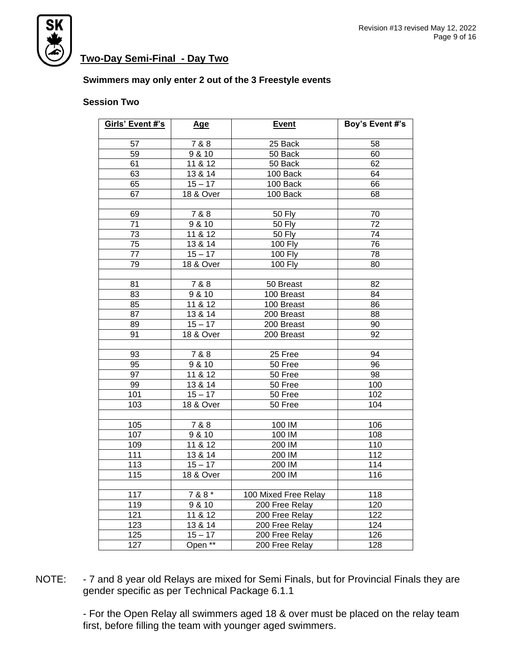

# **Two-Day Semi-Final - Day Two**

#### **Swimmers may only enter 2 out of the 3 Freestyle events**

#### **Session Two**

| Girls' Event #'s | <b>Age</b> | <b>Event</b>         | Boy's Event #'s |
|------------------|------------|----------------------|-----------------|
| $\overline{57}$  | 788        | 25 Back              | $\overline{58}$ |
| 59               | 9 & 10     | 50 Back              | 60              |
| 61               | 11 & 12    | $50$ Back            | 62              |
|                  |            |                      |                 |
| 63               | 13 & 14    | 100 Back             | 64              |
| 65               | $15 - 17$  | 100 Back             | 66              |
| 67               | 18 & Over  | 100 Back             | 68              |
| 69               | 7 & 8      | 50 Fly               | 70              |
| 71               | 9810       | 50 Fly               | $\overline{72}$ |
| 73               | 11 & 12    | $\overline{50}$ Fly  | $\overline{74}$ |
| 75               | 13 & 14    | <b>100 Fly</b>       | 76              |
| 77               | $15 - 17$  | 100 Fly              | 78              |
| 79               | 18 & Over  | 100 Fly              | 80              |
|                  |            |                      |                 |
| $\overline{81}$  | 7 & 8      | 50 Breast            | 82              |
| 83               | 9 & 10     | 100 Breast           | 84              |
| 85               | 11 & 12    | 100 Breast           | 86              |
| 87               | 13 & 14    | 200 Breast           | 88              |
| 89               | $15 - 17$  | 200 Breast           | 90              |
| 91               | 18 & Over  | 200 Breast           | 92              |
|                  |            |                      |                 |
| 93               | 7 & 8      | 25 Free              | 94              |
| 95               | 9 & 10     | 50 Free              | 96              |
| 97               | 11 & $12$  | 50 Free              | 98              |
| 99               | 13 & 14    | 50 Free              | 100             |
| 101              | $15 - 17$  | 50 Free              | 102             |
| 103              | 18 & Over  | $\overline{50}$ Free | 104             |
|                  |            |                      |                 |
| 105              | 7 & 8      | 100 IM               | 106             |
| 107              | 9 & 10     | 100 IM               | 108             |
| 109              | 11 & $12$  | 200 IM               | 110             |
| 111              | 13 & 14    | 200 IM               | 112             |
| 113              | $15 - 17$  | 200 IM               | 114             |
| 115              | 18 & Over  | 200 IM               | 116             |
|                  |            |                      |                 |
| 117              | $788*$     | 100 Mixed Free Relay | 118             |
| 119              | 9 & 10     | 200 Free Relay       | 120             |
| 121              | 11 & 812   | 200 Free Relay       | 122             |
| 123              | 13 & 14    | 200 Free Relay       | 124             |
| 125              | $15 - 17$  | 200 Free Relay       | 126             |
| 127              | Open **    | 200 Free Relay       | 128             |

NOTE: - 7 and 8 year old Relays are mixed for Semi Finals, but for Provincial Finals they are gender specific as per Technical Package 6.1.1

> - For the Open Relay all swimmers aged 18 & over must be placed on the relay team first, before filling the team with younger aged swimmers.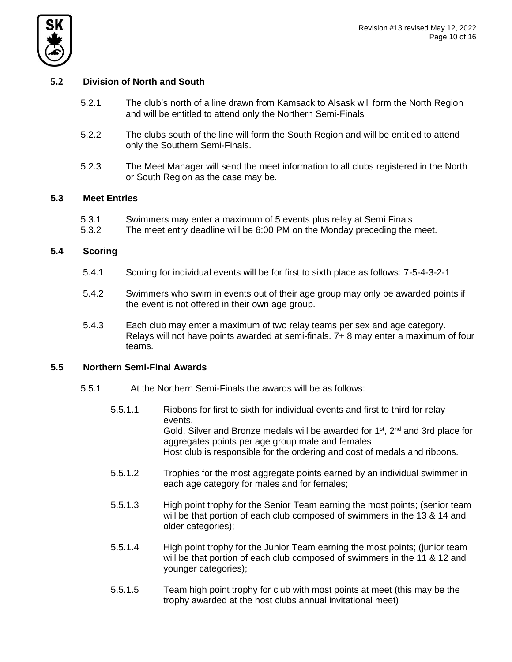



#### **5.2 Division of North and South**

- 5.2.1 The club's north of a line drawn from Kamsack to Alsask will form the North Region and will be entitled to attend only the Northern Semi-Finals
- 5.2.2 The clubs south of the line will form the South Region and will be entitled to attend only the Southern Semi-Finals.
- 5.2.3 The Meet Manager will send the meet information to all clubs registered in the North or South Region as the case may be.

#### **5.3 Meet Entries**

- 5.3.1 Swimmers may enter a maximum of 5 events plus relay at Semi Finals
- 5.3.2 The meet entry deadline will be 6:00 PM on the Monday preceding the meet.

#### **5.4 Scoring**

- 5.4.1 Scoring for individual events will be for first to sixth place as follows: 7-5-4-3-2-1
- 5.4.2 Swimmers who swim in events out of their age group may only be awarded points if the event is not offered in their own age group.
- 5.4.3 Each club may enter a maximum of two relay teams per sex and age category. Relays will not have points awarded at semi-finals. 7+ 8 may enter a maximum of four teams.

#### **5.5 Northern Semi-Final Awards**

- 5.5.1 At the Northern Semi-Finals the awards will be as follows:
	- 5.5.1.1 Ribbons for first to sixth for individual events and first to third for relay events. Gold, Silver and Bronze medals will be awarded for  $1<sup>st</sup>$ ,  $2<sup>nd</sup>$  and 3rd place for aggregates points per age group male and females Host club is responsible for the ordering and cost of medals and ribbons.
	- 5.5.1.2 Trophies for the most aggregate points earned by an individual swimmer in each age category for males and for females;
	- 5.5.1.3 High point trophy for the Senior Team earning the most points; (senior team will be that portion of each club composed of swimmers in the 13 & 14 and older categories);
	- 5.5.1.4 High point trophy for the Junior Team earning the most points; (junior team will be that portion of each club composed of swimmers in the 11 & 12 and younger categories);
	- 5.5.1.5 Team high point trophy for club with most points at meet (this may be the trophy awarded at the host clubs annual invitational meet)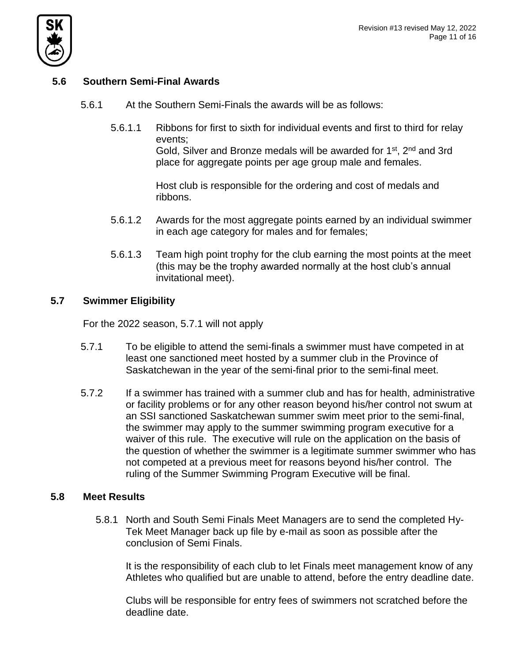

# **5.6 Southern Semi-Final Awards**

- 5.6.1 At the Southern Semi-Finals the awards will be as follows:
	- 5.6.1.1 Ribbons for first to sixth for individual events and first to third for relay events; Gold, Silver and Bronze medals will be awarded for 1<sup>st</sup>, 2<sup>nd</sup> and 3rd

place for aggregate points per age group male and females.

Host club is responsible for the ordering and cost of medals and ribbons.

- 5.6.1.2 Awards for the most aggregate points earned by an individual swimmer in each age category for males and for females;
- 5.6.1.3 Team high point trophy for the club earning the most points at the meet (this may be the trophy awarded normally at the host club's annual invitational meet).

## **5.7 Swimmer Eligibility**

For the 2022 season, 5.7.1 will not apply

- 5.7.1 To be eligible to attend the semi-finals a swimmer must have competed in at least one sanctioned meet hosted by a summer club in the Province of Saskatchewan in the year of the semi-final prior to the semi-final meet.
- 5.7.2 If a swimmer has trained with a summer club and has for health, administrative or facility problems or for any other reason beyond his/her control not swum at an SSI sanctioned Saskatchewan summer swim meet prior to the semi-final, the swimmer may apply to the summer swimming program executive for a waiver of this rule. The executive will rule on the application on the basis of the question of whether the swimmer is a legitimate summer swimmer who has not competed at a previous meet for reasons beyond his/her control. The ruling of the Summer Swimming Program Executive will be final.

### **5.8 Meet Results**

5.8.1 North and South Semi Finals Meet Managers are to send the completed Hy-Tek Meet Manager back up file by e-mail as soon as possible after the conclusion of Semi Finals.

It is the responsibility of each club to let Finals meet management know of any Athletes who qualified but are unable to attend, before the entry deadline date.

Clubs will be responsible for entry fees of swimmers not scratched before the deadline date.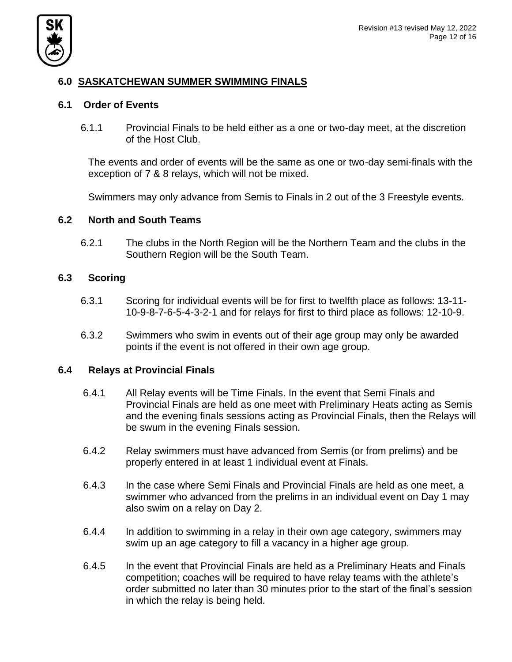

# **6.0 SASKATCHEWAN SUMMER SWIMMING FINALS**

### **6.1 Order of Events**

6.1.1 Provincial Finals to be held either as a one or two-day meet, at the discretion of the Host Club.

The events and order of events will be the same as one or two-day semi-finals with the exception of 7 & 8 relays, which will not be mixed.

Swimmers may only advance from Semis to Finals in 2 out of the 3 Freestyle events.

### **6.2 North and South Teams**

6.2.1 The clubs in the North Region will be the Northern Team and the clubs in the Southern Region will be the South Team.

## **6.3 Scoring**

- 6.3.1 Scoring for individual events will be for first to twelfth place as follows: 13-11- 10-9-8-7-6-5-4-3-2-1 and for relays for first to third place as follows: 12-10-9.
- 6.3.2 Swimmers who swim in events out of their age group may only be awarded points if the event is not offered in their own age group.

### **6.4 Relays at Provincial Finals**

- 6.4.1 All Relay events will be Time Finals. In the event that Semi Finals and Provincial Finals are held as one meet with Preliminary Heats acting as Semis and the evening finals sessions acting as Provincial Finals, then the Relays will be swum in the evening Finals session.
- 6.4.2 Relay swimmers must have advanced from Semis (or from prelims) and be properly entered in at least 1 individual event at Finals.
- 6.4.3 In the case where Semi Finals and Provincial Finals are held as one meet, a swimmer who advanced from the prelims in an individual event on Day 1 may also swim on a relay on Day 2.
- 6.4.4 In addition to swimming in a relay in their own age category, swimmers may swim up an age category to fill a vacancy in a higher age group.
- 6.4.5 In the event that Provincial Finals are held as a Preliminary Heats and Finals competition; coaches will be required to have relay teams with the athlete's order submitted no later than 30 minutes prior to the start of the final's session in which the relay is being held.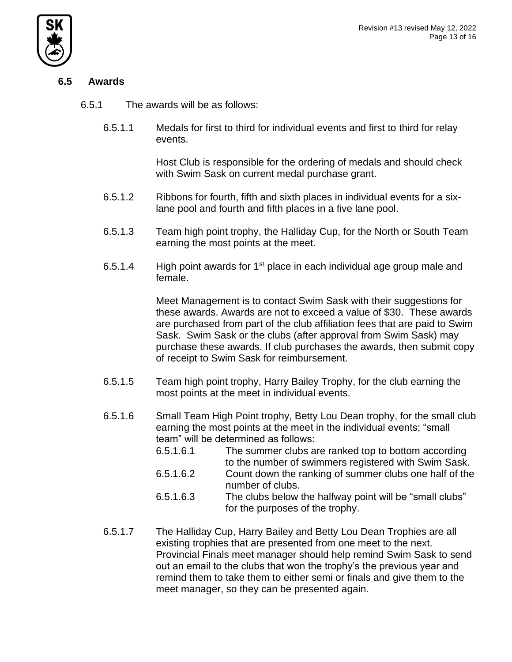

# **6.5 Awards**

6.5.1 The awards will be as follows:

6.5.1.1 Medals for first to third for individual events and first to third for relay events.

> Host Club is responsible for the ordering of medals and should check with Swim Sask on current medal purchase grant.

- 6.5.1.2 Ribbons for fourth, fifth and sixth places in individual events for a sixlane pool and fourth and fifth places in a five lane pool.
- 6.5.1.3 Team high point trophy, the Halliday Cup, for the North or South Team earning the most points at the meet.
- 6.5.1.4 High point awards for  $1<sup>st</sup>$  place in each individual age group male and female.

Meet Management is to contact Swim Sask with their suggestions for these awards. Awards are not to exceed a value of \$30. These awards are purchased from part of the club affiliation fees that are paid to Swim Sask. Swim Sask or the clubs (after approval from Swim Sask) may purchase these awards. If club purchases the awards, then submit copy of receipt to Swim Sask for reimbursement.

- 6.5.1.5 Team high point trophy, Harry Bailey Trophy, for the club earning the most points at the meet in individual events.
- 6.5.1.6 Small Team High Point trophy, Betty Lou Dean trophy, for the small club earning the most points at the meet in the individual events; "small team" will be determined as follows:
	- 6.5.1.6.1 The summer clubs are ranked top to bottom according to the number of swimmers registered with Swim Sask.
	- 6.5.1.6.2 Count down the ranking of summer clubs one half of the number of clubs.
	- 6.5.1.6.3 The clubs below the halfway point will be "small clubs" for the purposes of the trophy.
- 6.5.1.7 The Halliday Cup, Harry Bailey and Betty Lou Dean Trophies are all existing trophies that are presented from one meet to the next. Provincial Finals meet manager should help remind Swim Sask to send out an email to the clubs that won the trophy's the previous year and remind them to take them to either semi or finals and give them to the meet manager, so they can be presented again.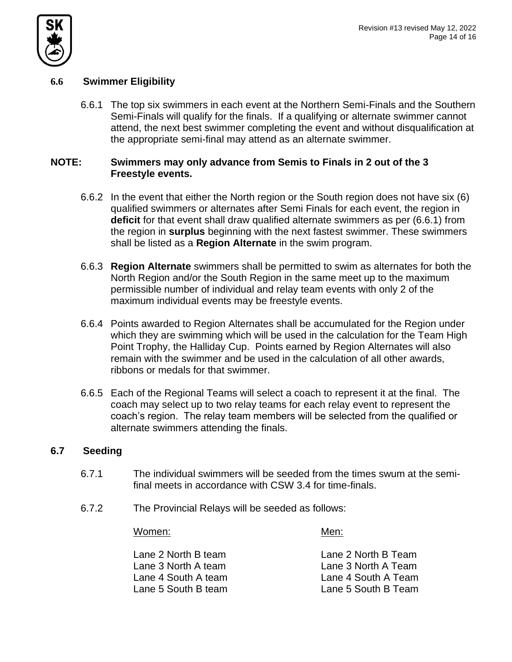

# **6.6 Swimmer Eligibility**

6.6.1 The top six swimmers in each event at the Northern Semi-Finals and the Southern Semi-Finals will qualify for the finals. If a qualifying or alternate swimmer cannot attend, the next best swimmer completing the event and without disqualification at the appropriate semi-final may attend as an alternate swimmer.

## **NOTE: Swimmers may only advance from Semis to Finals in 2 out of the 3 Freestyle events.**

- 6.6.2 In the event that either the North region or the South region does not have six (6) qualified swimmers or alternates after Semi Finals for each event, the region in **deficit** for that event shall draw qualified alternate swimmers as per (6.6.1) from the region in **surplus** beginning with the next fastest swimmer. These swimmers shall be listed as a **Region Alternate** in the swim program.
- 6.6.3 **Region Alternate** swimmers shall be permitted to swim as alternates for both the North Region and/or the South Region in the same meet up to the maximum permissible number of individual and relay team events with only 2 of the maximum individual events may be freestyle events.
- 6.6.4 Points awarded to Region Alternates shall be accumulated for the Region under which they are swimming which will be used in the calculation for the Team High Point Trophy, the Halliday Cup. Points earned by Region Alternates will also remain with the swimmer and be used in the calculation of all other awards, ribbons or medals for that swimmer.
- 6.6.5 Each of the Regional Teams will select a coach to represent it at the final. The coach may select up to two relay teams for each relay event to represent the coach's region. The relay team members will be selected from the qualified or alternate swimmers attending the finals.

# **6.7 Seeding**

- 6.7.1 The individual swimmers will be seeded from the times swum at the semifinal meets in accordance with CSW 3.4 for time-finals.
- 6.7.2 The Provincial Relays will be seeded as follows:

### Women: Men:

| Lane 2 North B team | Lane 2 North B Team |
|---------------------|---------------------|
| Lane 3 North A team | Lane 3 North A Team |
| Lane 4 South A team | Lane 4 South A Team |
| Lane 5 South B team | Lane 5 South B Team |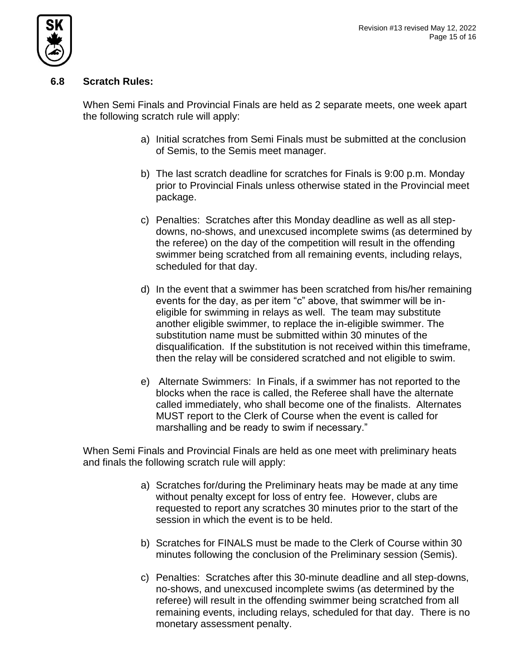

# **6.8 Scratch Rules:**

When Semi Finals and Provincial Finals are held as 2 separate meets, one week apart the following scratch rule will apply:

- a) Initial scratches from Semi Finals must be submitted at the conclusion of Semis, to the Semis meet manager.
- b) The last scratch deadline for scratches for Finals is 9:00 p.m. Monday prior to Provincial Finals unless otherwise stated in the Provincial meet package.
- c) Penalties: Scratches after this Monday deadline as well as all stepdowns, no-shows, and unexcused incomplete swims (as determined by the referee) on the day of the competition will result in the offending swimmer being scratched from all remaining events, including relays, scheduled for that day.
- d) In the event that a swimmer has been scratched from his/her remaining events for the day, as per item "c" above, that swimmer will be ineligible for swimming in relays as well. The team may substitute another eligible swimmer, to replace the in-eligible swimmer. The substitution name must be submitted within 30 minutes of the disqualification. If the substitution is not received within this timeframe, then the relay will be considered scratched and not eligible to swim.
- e) Alternate Swimmers: In Finals, if a swimmer has not reported to the blocks when the race is called, the Referee shall have the alternate called immediately, who shall become one of the finalists. Alternates MUST report to the Clerk of Course when the event is called for marshalling and be ready to swim if necessary."

When Semi Finals and Provincial Finals are held as one meet with preliminary heats and finals the following scratch rule will apply:

- a) Scratches for/during the Preliminary heats may be made at any time without penalty except for loss of entry fee. However, clubs are requested to report any scratches 30 minutes prior to the start of the session in which the event is to be held.
- b) Scratches for FINALS must be made to the Clerk of Course within 30 minutes following the conclusion of the Preliminary session (Semis).
- c) Penalties: Scratches after this 30-minute deadline and all step-downs, no-shows, and unexcused incomplete swims (as determined by the referee) will result in the offending swimmer being scratched from all remaining events, including relays, scheduled for that day. There is no monetary assessment penalty.